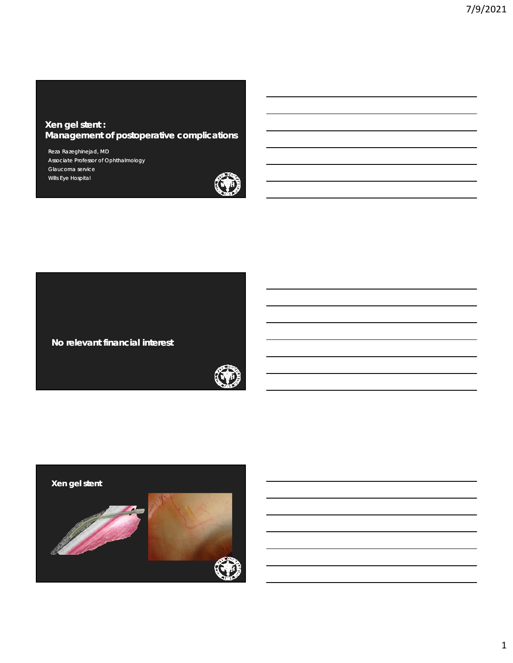### **Xen gel stent : Management of postoperative complications**

Reza Razeghinejad, MD Associate Professor of Ophthalmology Glaucoma service Wills Eye Hospital



**No relevant financial interest** 



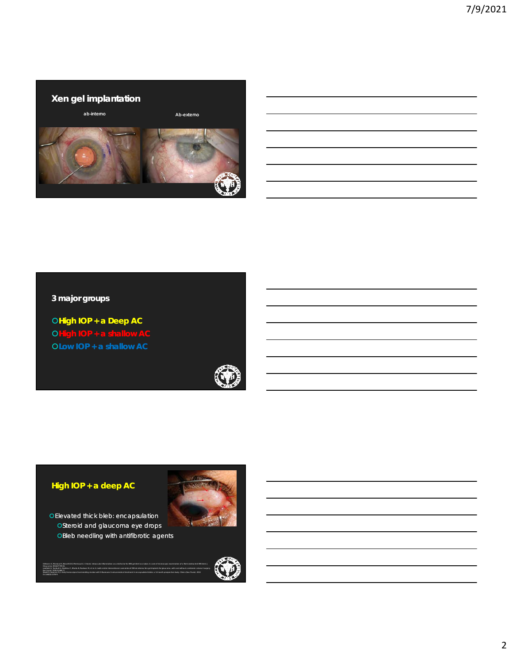

## **3 major groups**

**High IOP + a Deep AC OHigh IOP + a shallow AC Low IOP + a shallow AC** 



# **High IOP + a deep AC**

Eye (Lond) 2019;33:469-77.

Oct;68(10):1376-9.

Elevated thick bleb: encapsulation OSteroid and glaucoma eye drops OBleb needling with antifibrotic agents

Gillmann K, Mansouri K, Bravetti GE, Mermoud A. Chronic intraocular inflammation as a risk factor for XEN gel stent occlusion: A case of microscopic examination of a fibrin-obstructed XEN stent. J

Suzuki R, Susanna R Jr. Early transconjunctival needling revision with 5-fluorouracil versus medical treatment in encapsulated blebs: a 12-month prospective study. Clinics (Sao Paulo). 2013



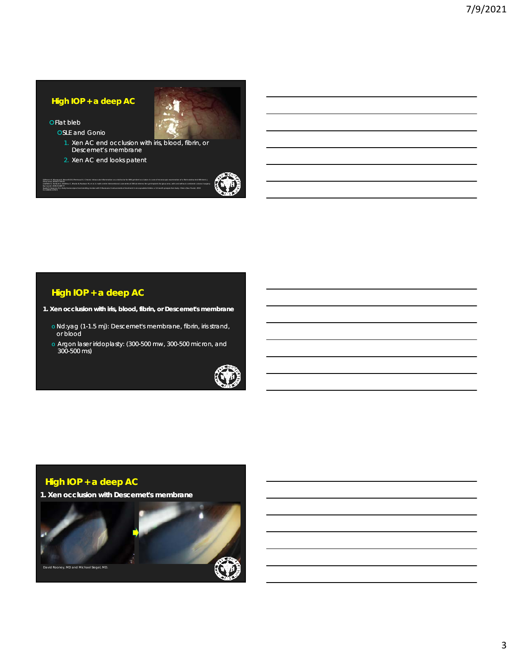## **High IOP + a deep AC**

OFlat bleb

Glaucoma 2018;27:739-41.

Eye (Lond) 2019;33:469-77.

Oct;68(10):1376-9.

- **OSLE** and Gonio
	- 1. Xen AC end occlusion with iris, blood, fibrin, or Descemet's membrane

Suzuki R, Susanna R Jr. Early transconjunctival needling revision with 5-fluorouracil versus medical treatment in encapsulated blebs: a 12-month prospective study. Clinics (Sao Paulo). 2013

2. Xen AC end looks patent



## **High IOP + a deep AC**

**1. Xen occlusion with iris, blood, fibrin, or Descemet's membrane** 

- o Nd:yag (1-1.5 mj): Descemet's membrane, fibrin, iris strand, or blood
- o Argon laser iridoplasty: (300-500 mw, 300-500 micron, and 300-500 ms)



## **High IOP + a deep AC**

**1. Xen occlusion with Descemet's membrane** 

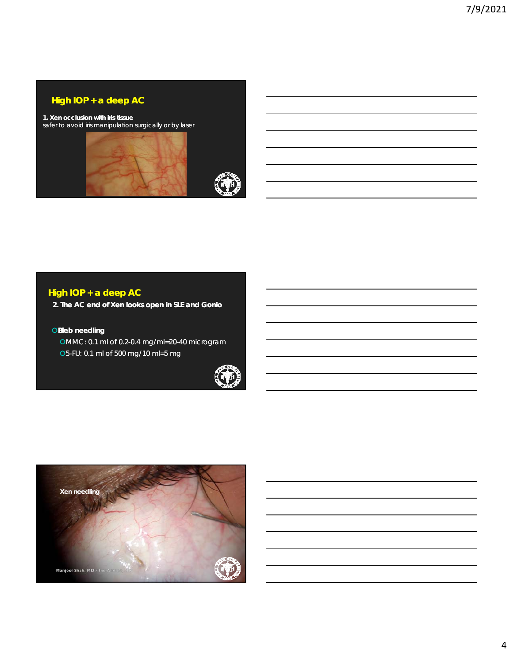## **High IOP + a deep AC**

**1. Xen occlusion with iris tissue** safer to avoid iris manipulation surgically or by laser





# **High IOP + a deep AC**

**2. The AC end of Xen looks open in SLE and Gonio**

#### **OBleb needling**

MMC: 0.1 ml of 0.2-0.4 mg/ml=20-40 microgram 5-FU: 0.1 ml of 500 mg/10 ml=5 mg



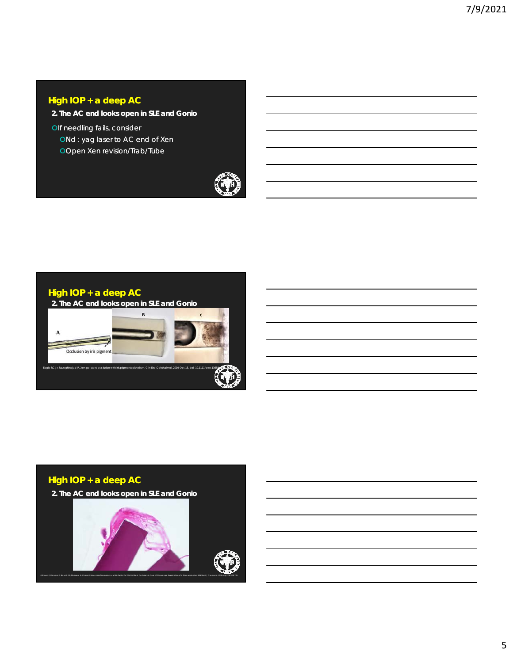## **High IOP + a deep AC**

- **2. The AC end looks open in SLE and Gonio**
- Olf needling fails, consider ONd : yag laser to AC end of Xen Open Xen revision/Trab/Tube





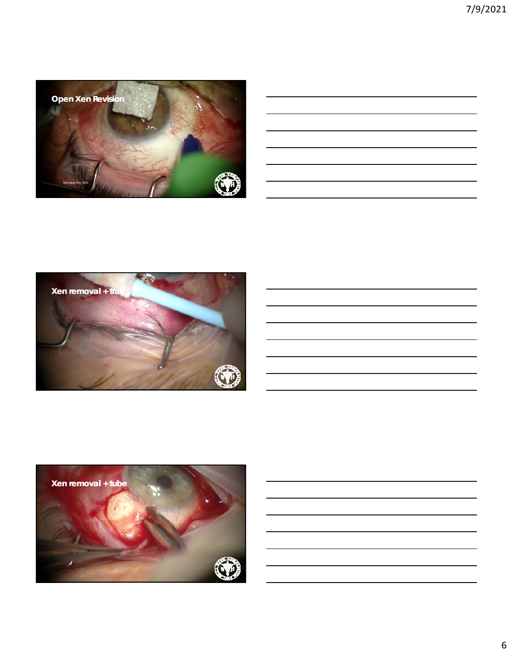



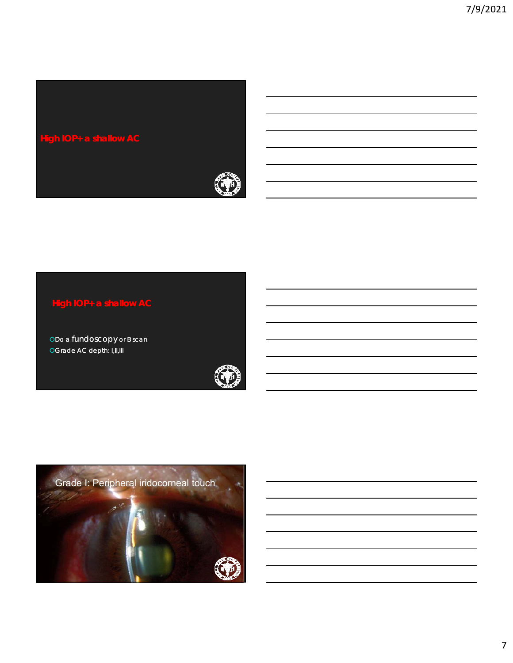

## **High IOP+ a shallow AC**

oDo a fundoscopy or B scan OGrade AC depth: I,II,III



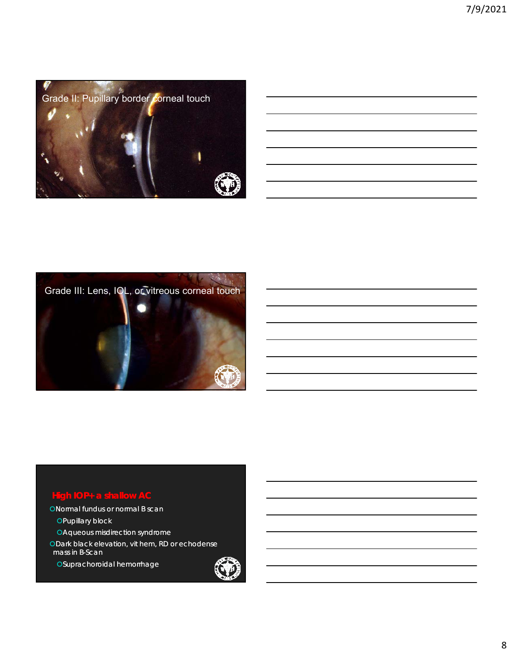



# **High IOP+ a shallow AC**

ONormal fundus or normal B scan

**OPupillary block** Aqueous misdirection syndrome

Dark black elevation, vit hem, RD or echodense mass in B-Scan

Suprachoroidal hemorrhage

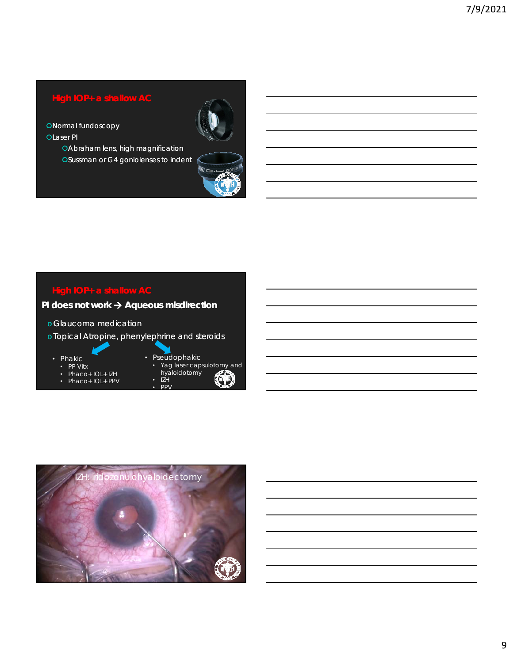## **High IOP+ a shallow AC**

**ONormal fundoscopy OLaser PI** 

> Abraham lens, high magnification Sussman or G4 goniolenses to indent



# **High IOP+ a shallow AC**

## **PI does not work**  $\rightarrow$  **Aqueous misdirection**

- o Glaucoma medication
- o Topical Atropine, phenylephrine and steroids
	- Phakic
		- PP Vitx
		- Phaco+ IOL+ IZH
		- Phaco+ IOL+ PPV



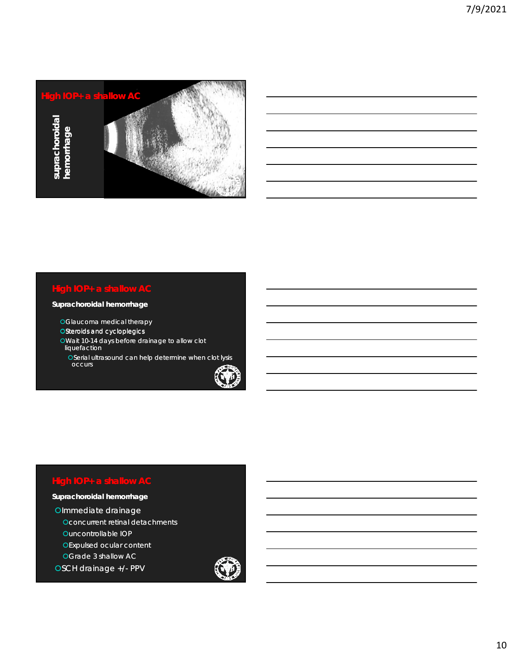

#### **Suprachoroidal hemorrhage**

- Glaucoma medical therapy
- OSteroids and cycloplegics
- Wait 10-14 days before drainage to allow clot liquefaction **High IOP+ a shallow AC**<br> **Suprachoroidal hemorrhage**<br>
OGlaucoma medical therapy<br>
OSteroids and cycloplegics<br>
OWait 10-14 days before drainage to allow clot<br>
liquefaction<br>
OSerial ultrasound can help determine when clot
	- Serial ultrasound can help determine when clot lysis occurs



# **High IOP+ a shallow AC**

## **Suprachoroidal hemorrhage**

Olmmediate drainage **Oconcurrent retinal detachments** 

Ouncontrollable IOP

**OExpulsed ocular content** 

Grade 3 shallow AC

OSCH drainage +/- PPV

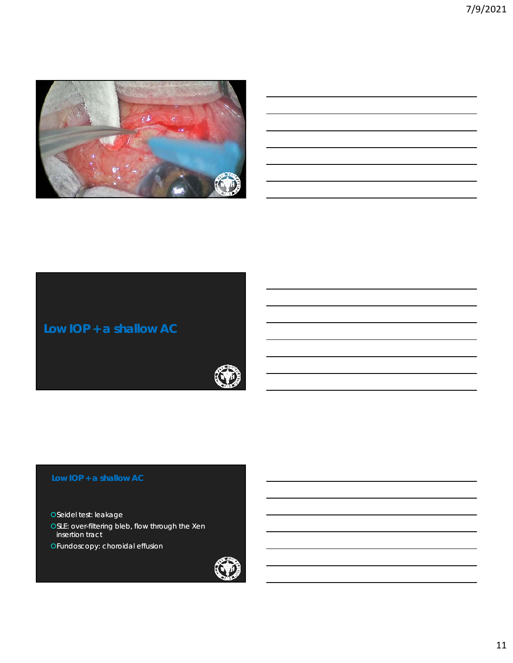



OSeidel test: leakage OSLE: over-filtering bleb, flow through the Xen insertion tract Fundoscopy: choroidal effusion

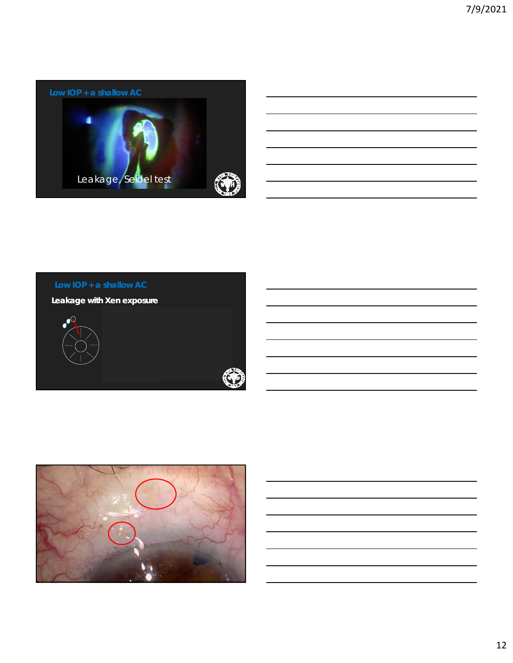



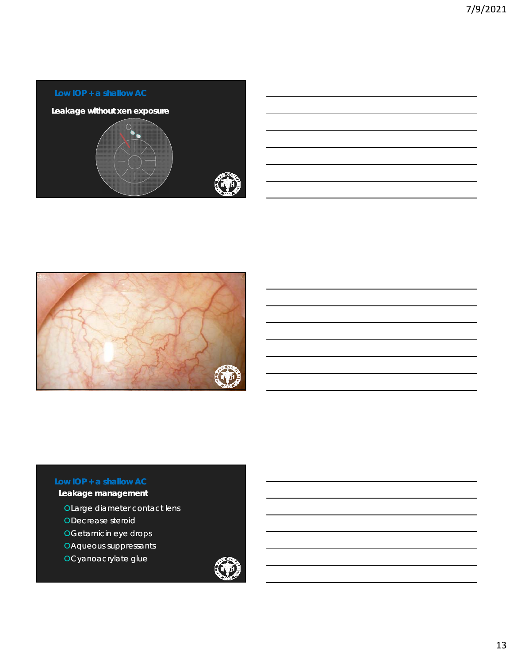



## **Leakage management**

- Large diameter contact lens
- Decrease steroid
- Getamicin eye drops
- Aqueous suppressants
- Cyanoacrylate glue

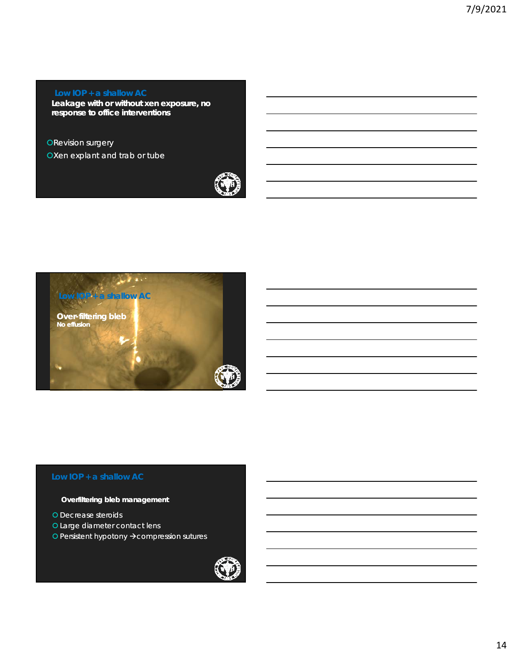**Leakage with or without xen exposure, no response to office interventions** 

### **ORevision surgery**

OXen explant and trab or tube





#### **Overfiltering bleb management**

- O Decrease steroids
- Large diameter contact lens
- O Persistent hypotony  $\rightarrow$  compression sutures

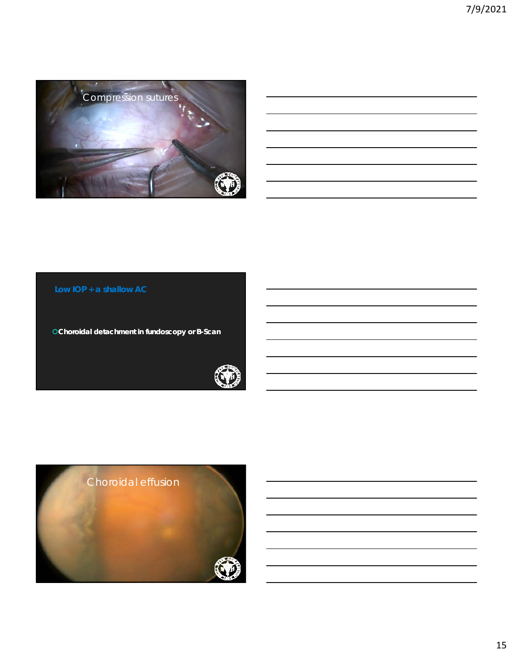

### **Low IOP + a shallow AC**

**Choroidal detachment in fundoscopy or B-Scan**



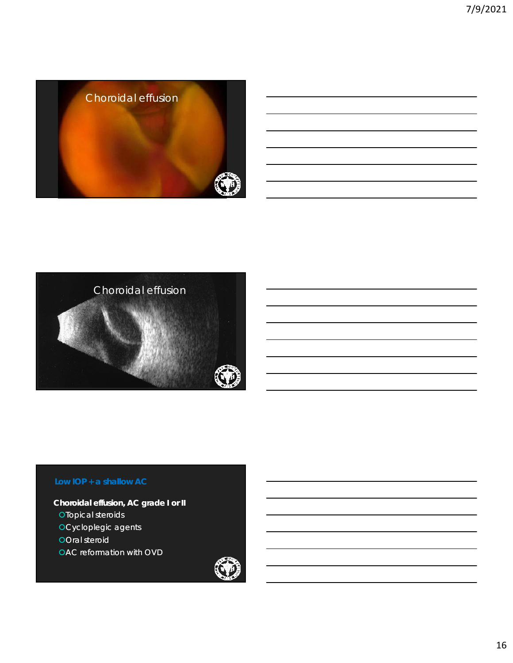



**Choroidal effusion, AC grade I or II OTopical steroids OCycloplegic agents OOral steroid OAC** reformation with OVD

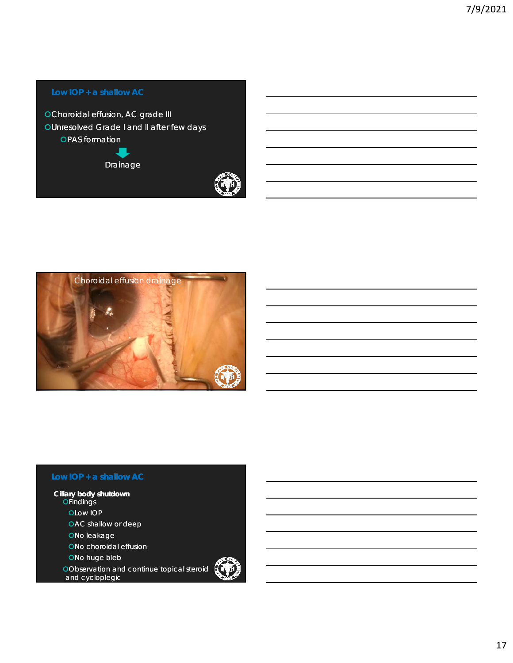



**Ciliary body shutdown OFindings OLow IOP** OAC shallow or deep ONo leakage ONo choroidal effusion ONo huge bleb

> Observation and continue topical steroid and cycloplegic